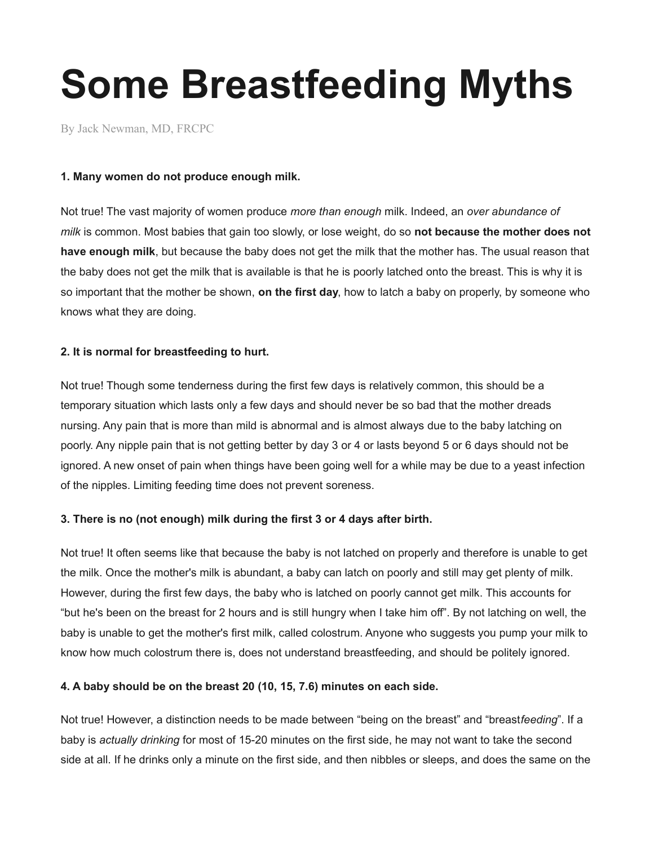# **Some Breastfeeding Myths**

[By Jack Newman, MD, FRCPC](http://www.drjacknewman.com/)

## **1. Many women do not produce enough milk.**

Not true! The vast majority of women produce *more than enough* milk. Indeed, an *over abundance of milk* is common. Most babies that gain too slowly, or lose weight, do so **not because the mother does not have enough milk**, but because the baby does not get the milk that the mother has. The usual reason that the baby does not get the milk that is available is that he is poorly latched onto the breast. This is why it is so important that the mother be shown, **on the first day**, how to latch a baby on properly, by someone who knows what they are doing.

# **2. It is normal for breastfeeding to hurt.**

Not true! Though some tenderness during the first few days is relatively common, this should be a temporary situation which lasts only a few days and should never be so bad that the mother dreads nursing. Any pain that is more than mild is abnormal and is almost always due to the baby latching on poorly. Any nipple pain that is not getting better by day 3 or 4 or lasts beyond 5 or 6 days should not be ignored. A new onset of pain when things have been going well for a while may be due to a yeast infection of the nipples. Limiting feeding time does not prevent soreness.

# **3. There is no (not enough) milk during the first 3 or 4 days after birth.**

Not true! It often seems like that because the baby is not latched on properly and therefore is unable to get the milk. Once the mother's milk is abundant, a baby can latch on poorly and still may get plenty of milk. However, during the first few days, the baby who is latched on poorly cannot get milk. This accounts for "but he's been on the breast for 2 hours and is still hungry when I take him off". By not latching on well, the baby is unable to get the mother's first milk, called colostrum. Anyone who suggests you pump your milk to know how much colostrum there is, does not understand breastfeeding, and should be politely ignored.

# **4. A baby should be on the breast 20 (10, 15, 7.6) minutes on each side.**

Not true! However, a distinction needs to be made between "being on the breast" and "breast*feeding*". If a baby is *actually drinking* for most of 15-20 minutes on the first side, he may not want to take the second side at all. If he drinks only a minute on the first side, and then nibbles or sleeps, and does the same on the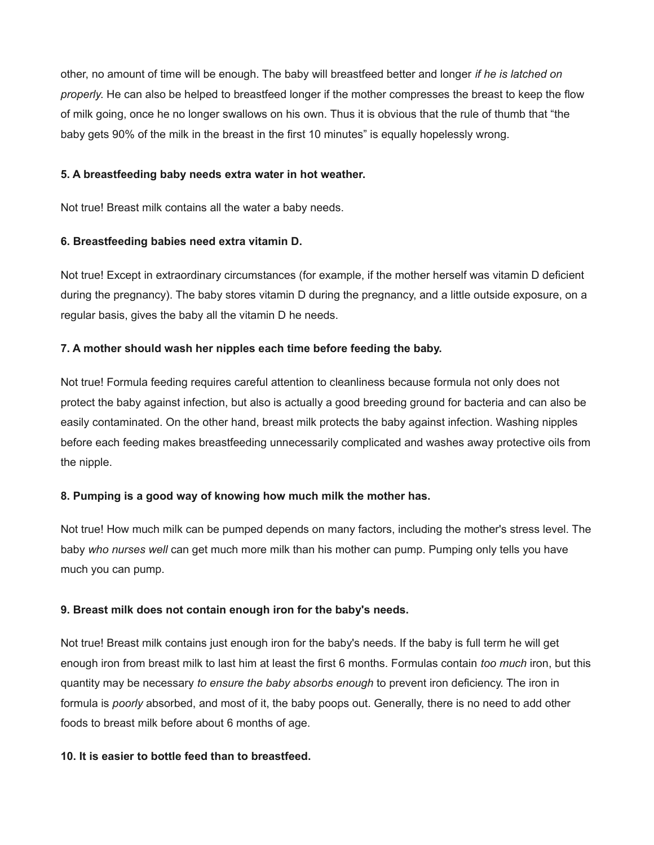other, no amount of time will be enough. The baby will breastfeed better and longer *if he is latched on properly*. He can also be helped to breastfeed longer if the mother compresses the breast to keep the flow of milk going, once he no longer swallows on his own. Thus it is obvious that the rule of thumb that "the baby gets 90% of the milk in the breast in the first 10 minutes" is equally hopelessly wrong.

#### **5. A breastfeeding baby needs extra water in hot weather.**

Not true! Breast milk contains all the water a baby needs.

## **6. Breastfeeding babies need extra vitamin D.**

Not true! Except in extraordinary circumstances (for example, if the mother herself was vitamin D deficient during the pregnancy). The baby stores vitamin D during the pregnancy, and a little outside exposure, on a regular basis, gives the baby all the vitamin D he needs.

# **7. A mother should wash her nipples each time before feeding the baby.**

Not true! Formula feeding requires careful attention to cleanliness because formula not only does not protect the baby against infection, but also is actually a good breeding ground for bacteria and can also be easily contaminated. On the other hand, breast milk protects the baby against infection. Washing nipples before each feeding makes breastfeeding unnecessarily complicated and washes away protective oils from the nipple.

# **8. Pumping is a good way of knowing how much milk the mother has.**

Not true! How much milk can be pumped depends on many factors, including the mother's stress level. The baby *who nurses well* can get much more milk than his mother can pump. Pumping only tells you have much you can pump.

#### **9. Breast milk does not contain enough iron for the baby's needs.**

Not true! Breast milk contains just enough iron for the baby's needs. If the baby is full term he will get enough iron from breast milk to last him at least the first 6 months. Formulas contain *too much* iron, but this quantity may be necessary *to ensure the baby absorbs enough* to prevent iron deficiency. The iron in formula is *poorly* absorbed, and most of it, the baby poops out. Generally, there is no need to add other foods to breast milk before about 6 months of age.

#### **10. It is easier to bottle feed than to breastfeed.**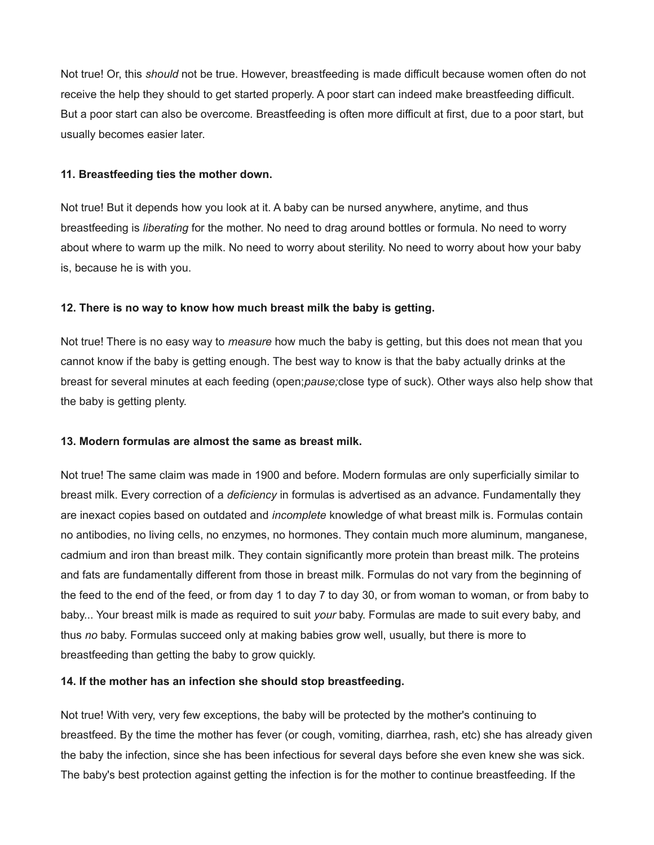Not true! Or, this *should* not be true. However, breastfeeding is made difficult because women often do not receive the help they should to get started properly. A poor start can indeed make breastfeeding difficult. But a poor start can also be overcome. Breastfeeding is often more difficult at first, due to a poor start, but usually becomes easier later.

#### **11. Breastfeeding ties the mother down.**

Not true! But it depends how you look at it. A baby can be nursed anywhere, anytime, and thus breastfeeding is *liberating* for the mother. No need to drag around bottles or formula. No need to worry about where to warm up the milk. No need to worry about sterility. No need to worry about how your baby is, because he is with you.

#### **12. There is no way to know how much breast milk the baby is getting.**

Not true! There is no easy way to *measure* how much the baby is getting, but this does not mean that you cannot know if the baby is getting enough. The best way to know is that the baby actually drinks at the breast for several minutes at each feeding (open;*pause;*close type of suck). Other ways also help show that the baby is getting plenty.

#### **13. Modern formulas are almost the same as breast milk.**

Not true! The same claim was made in 1900 and before. Modern formulas are only superficially similar to breast milk. Every correction of a *deficiency* in formulas is advertised as an advance. Fundamentally they are inexact copies based on outdated and *incomplete* knowledge of what breast milk is. Formulas contain no antibodies, no living cells, no enzymes, no hormones. They contain much more aluminum, manganese, cadmium and iron than breast milk. They contain significantly more protein than breast milk. The proteins and fats are fundamentally different from those in breast milk. Formulas do not vary from the beginning of the feed to the end of the feed, or from day 1 to day 7 to day 30, or from woman to woman, or from baby to baby... Your breast milk is made as required to suit *your* baby. Formulas are made to suit every baby, and thus *no* baby. Formulas succeed only at making babies grow well, usually, but there is more to breastfeeding than getting the baby to grow quickly.

#### **14. If the mother has an infection she should stop breastfeeding.**

Not true! With very, very few exceptions, the baby will be protected by the mother's continuing to breastfeed. By the time the mother has fever (or cough, vomiting, diarrhea, rash, etc) she has already given the baby the infection, since she has been infectious for several days before she even knew she was sick. The baby's best protection against getting the infection is for the mother to continue breastfeeding. If the